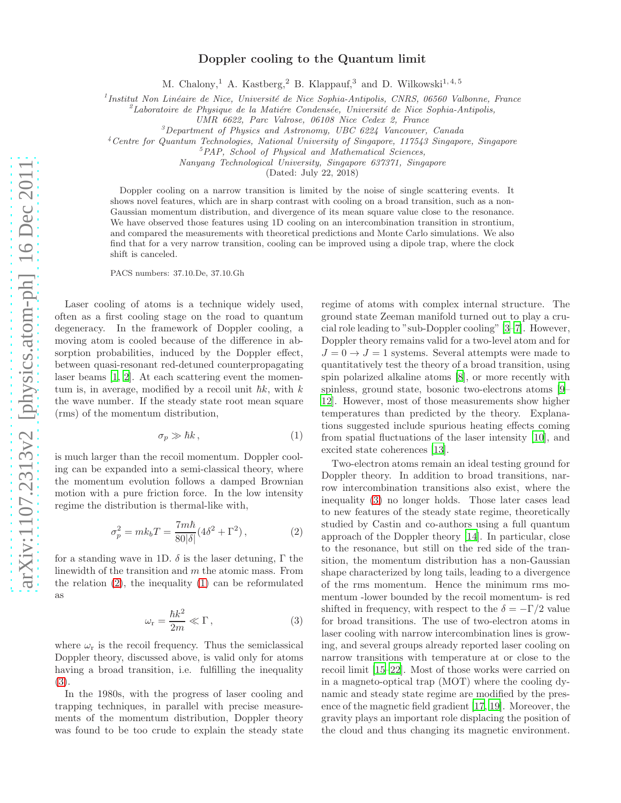## Doppler cooling to the Quantum limit

M. Chalony,<sup>1</sup> A. Kastberg,<sup>2</sup> B. Klappauf,<sup>3</sup> and D. Wilkowski<sup>1, 4, 5</sup>

<sup>1</sup> Institut Non Linéaire de Nice, Université de Nice Sophia-Antipolis, CNRS, 06560 Valbonne, France

<sup>2</sup>Laboratoire de Physique de la Matiére Condensée, Université de Nice Sophia-Antipolis,

UMR 6622, Parc Valrose, 06108 Nice Cedex 2, France

 ${}^{3}$ Department of Physics and Astronomy, UBC 6224 Vancouver, Canada

<sup>4</sup>Centre for Quantum Technologies, National University of Singapore, 117543 Singapore, Singapore

<sup>5</sup>PAP, School of Physical and Mathematical Sciences,

Nanyang Technological University, Singapore 637371, Singapore

(Dated: July 22, 2018)

Doppler cooling on a narrow transition is limited by the noise of single scattering events. It shows novel features, which are in sharp contrast with cooling on a broad transition, such as a non-Gaussian momentum distribution, and divergence of its mean square value close to the resonance. We have observed those features using 1D cooling on an intercombination transition in strontium, and compared the measurements with theoretical predictions and Monte Carlo simulations. We also find that for a very narrow transition, cooling can be improved using a dipole trap, where the clock shift is canceled.

PACS numbers: 37.10.De, 37.10.Gh

Laser cooling of atoms is a technique widely used, often as a first cooling stage on the road to quantum degeneracy. In the framework of Doppler cooling, a moving atom is cooled because of the difference in absorption probabilities, induced by the Doppler effect, between quasi-resonant red-detuned counterpropagating laser beams [\[1](#page-3-0), [2](#page-3-1)]. At each scattering event the momentum is, in average, modified by a recoil unit  $\hbar k$ , with  $k$ the wave number. If the steady state root mean square (rms) of the momentum distribution,

<span id="page-0-1"></span>
$$
\sigma_p \gg \hbar k \,, \tag{1}
$$

is much larger than the recoil momentum. Doppler cooling can be expanded into a semi-classical theory, where the momentum evolution follows a damped Brownian motion with a pure friction force. In the low intensity regime the distribution is thermal-like with,

<span id="page-0-0"></span>
$$
\sigma_p^2 = mk_b T = \frac{7m\hbar}{80|\delta|} (4\delta^2 + \Gamma^2), \qquad (2)
$$

for a standing wave in 1D.  $\delta$  is the laser detuning,  $\Gamma$  the linewidth of the transition and m the atomic mass. From the relation [\(2\)](#page-0-0), the inequality [\(1\)](#page-0-1) can be reformulated as

<span id="page-0-2"></span>
$$
\omega_{\rm r} = \frac{\hbar k^2}{2m} \ll \Gamma \,, \tag{3}
$$

where  $\omega_r$  is the recoil frequency. Thus the semiclassical Doppler theory, discussed above, is valid only for atoms having a broad transition, i.e. fulfilling the inequality [\(3\)](#page-0-2).

In the 1980s, with the progress of laser cooling and trapping techniques, in parallel with precise measurements of the momentum distribution, Doppler theory was found to be too crude to explain the steady state

regime of atoms with complex internal structure. The ground state Zeeman manifold turned out to play a crucial role leading to "sub-Doppler cooling" [\[3](#page-3-2)[–7\]](#page-3-3). However, Doppler theory remains valid for a two-level atom and for  $J = 0 \rightarrow J = 1$  systems. Several attempts were made to quantitatively test the theory of a broad transition, using spin polarized alkaline atoms [\[8\]](#page-3-4), or more recently with spinless, ground state, bosonic two-electrons atoms [\[9](#page-3-5)– [12](#page-3-6)]. However, most of those measurements show higher temperatures than predicted by the theory. Explanations suggested include spurious heating effects coming from spatial fluctuations of the laser intensity [\[10\]](#page-3-7), and excited state coherences [\[13\]](#page-3-8).

Two-electron atoms remain an ideal testing ground for Doppler theory. In addition to broad transitions, narrow intercombination transitions also exist, where the inequality [\(3\)](#page-0-2) no longer holds. Those later cases lead to new features of the steady state regime, theoretically studied by Castin and co-authors using a full quantum approach of the Doppler theory [\[14\]](#page-3-9). In particular, close to the resonance, but still on the red side of the transition, the momentum distribution has a non-Gaussian shape characterized by long tails, leading to a divergence of the rms momentum. Hence the minimum rms momentum -lower bounded by the recoil momentum- is red shifted in frequency, with respect to the  $\delta = -\Gamma/2$  value for broad transitions. The use of two-electron atoms in laser cooling with narrow intercombination lines is growing, and several groups already reported laser cooling on narrow transitions with temperature at or close to the recoil limit [\[15](#page-3-10)[–22\]](#page-4-0). Most of those works were carried on in a magneto-optical trap (MOT) where the cooling dynamic and steady state regime are modified by the presence of the magnetic field gradient [\[17,](#page-3-11) [19\]](#page-4-1). Moreover, the gravity plays an important role displacing the position of the cloud and thus changing its magnetic environment.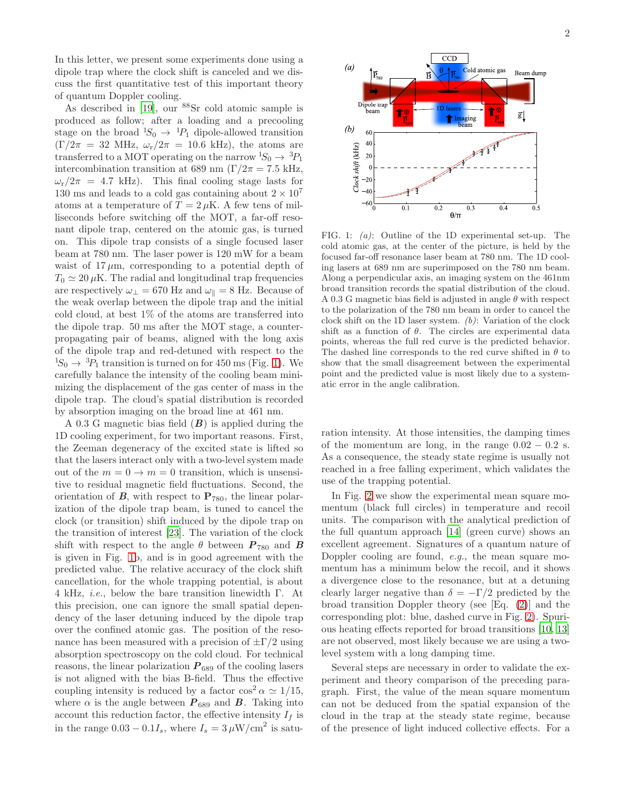In this letter, we present some experiments done using a dipole trap where the clock shift is canceled and we discuss the first quantitative test of this important theory of quantum Doppler cooling.

As described in [\[19\]](#page-4-1), our <sup>88</sup>Sr cold atomic sample is produced as follow; after a loading and a precooling stage on the broad  ${}^{1}S_0 \rightarrow {}^{1}P_1$  dipole-allowed transition  $(\Gamma/2\pi = 32 \text{ MHz}, \omega_r/2\pi = 10.6 \text{ kHz}),$  the atoms are transferred to a MOT operating on the narrow  ${}^{1}S_0 \rightarrow {}^{3}P_1$ intercombination transition at 689 nm ( $\Gamma/2\pi = 7.5$  kHz,  $\omega_{\rm r}/2\pi$  = 4.7 kHz). This final cooling stage lasts for 130 ms and leads to a cold gas containing about  $2 \times 10^7$ atoms at a temperature of  $T = 2 \mu$ K. A few tens of milliseconds before switching off the MOT, a far-off resonant dipole trap, centered on the atomic gas, is turned on. This dipole trap consists of a single focused laser beam at 780 nm. The laser power is 120 mW for a beam waist of  $17 \mu m$ , corresponding to a potential depth of  $T_0 \simeq 20 \,\mu\text{K}$ . The radial and longitudinal trap frequencies are respectively  $\omega_{\perp} = 670$  Hz and  $\omega_{\parallel} = 8$  Hz. Because of the weak overlap between the dipole trap and the initial cold cloud, at best 1% of the atoms are transferred into the dipole trap. 50 ms after the MOT stage, a counterpropagating pair of beams, aligned with the long axis of the dipole trap and red-detuned with respect to the  ${}^{1}S_{0} \rightarrow {}^{3}P_{1}$  transition is turned on for 450 ms (Fig. [1\)](#page-1-0). We carefully balance the intensity of the cooling beam minimizing the displacement of the gas center of mass in the dipole trap. The cloud's spatial distribution is recorded by absorption imaging on the broad line at 461 nm.

A 0.3 G magnetic bias field  $(B)$  is applied during the 1D cooling experiment, for two important reasons. First, the Zeeman degeneracy of the excited state is lifted so that the lasers interact only with a two-level system made out of the  $m = 0 \rightarrow m = 0$  transition, which is unsensitive to residual magnetic field fluctuations. Second, the orientation of  $B$ , with respect to  $P_{780}$ , the linear polarization of the dipole trap beam, is tuned to cancel the clock (or transition) shift induced by the dipole trap on the transition of interest [\[23\]](#page-4-2). The variation of the clock shift with respect to the angle  $\theta$  between  $P_{780}$  and B is given in Fig. [1b](#page-1-0), and is in good agreement with the predicted value. The relative accuracy of the clock shift cancellation, for the whole trapping potential, is about 4 kHz, i.e., below the bare transition linewidth Γ. At this precision, one can ignore the small spatial dependency of the laser detuning induced by the dipole trap over the confined atomic gas. The position of the resonance has been measured with a precision of  $\pm \Gamma/2$  using absorption spectroscopy on the cold cloud. For technical reasons, the linear polarization  $P_{689}$  of the cooling lasers is not aligned with the bias B-field. Thus the effective coupling intensity is reduced by a factor  $\cos^2 \alpha \simeq 1/15$ , where  $\alpha$  is the angle between  $P_{689}$  and  $B$ . Taking into account this reduction factor, the effective intensity  $I_f$  is in the range  $0.03 - 0.1I_s$ , where  $I_s = 3 \,\mu\text{W/cm}^2$  is satu-



<span id="page-1-0"></span>FIG. 1: (a): Outline of the 1D experimental set-up. The cold atomic gas, at the center of the picture, is held by the focused far-off resonance laser beam at 780 nm. The 1D cooling lasers at 689 nm are superimposed on the 780 nm beam. Along a perpendicular axis, an imaging system on the 461nm broad transition records the spatial distribution of the cloud. A 0.3 G magnetic bias field is adjusted in angle  $\theta$  with respect to the polarization of the 780 nm beam in order to cancel the clock shift on the 1D laser system.  $(b)$ : Variation of the clock shift as a function of  $\theta$ . The circles are experimental data points, whereas the full red curve is the predicted behavior. The dashed line corresponds to the red curve shifted in  $\theta$  to show that the small disagreement between the experimental point and the predicted value is most likely due to a systematic error in the angle calibration.

ration intensity. At those intensities, the damping times of the momentum are long, in the range  $0.02 - 0.2$  s. As a consequence, the steady state regime is usually not reached in a free falling experiment, which validates the use of the trapping potential.

In Fig. [2](#page-2-0) we show the experimental mean square momentum (black full circles) in temperature and recoil units. The comparison with the analytical prediction of the full quantum approach [\[14\]](#page-3-9) (green curve) shows an excellent agreement. Signatures of a quantum nature of Doppler cooling are found, e.g., the mean square momentum has a minimum below the recoil, and it shows a divergence close to the resonance, but at a detuning clearly larger negative than  $\delta = -\Gamma/2$  predicted by the broad transition Doppler theory (see [Eq. [\(2\)](#page-0-0)] and the corresponding plot: blue, dashed curve in Fig. [2\)](#page-2-0). Spurious heating effects reported for broad transitions [\[10,](#page-3-7) [13](#page-3-8)] are not observed, most likely because we are using a twolevel system with a long damping time.

Several steps are necessary in order to validate the experiment and theory comparison of the preceding paragraph. First, the value of the mean square momentum can not be deduced from the spatial expansion of the cloud in the trap at the steady state regime, because of the presence of light induced collective effects. For a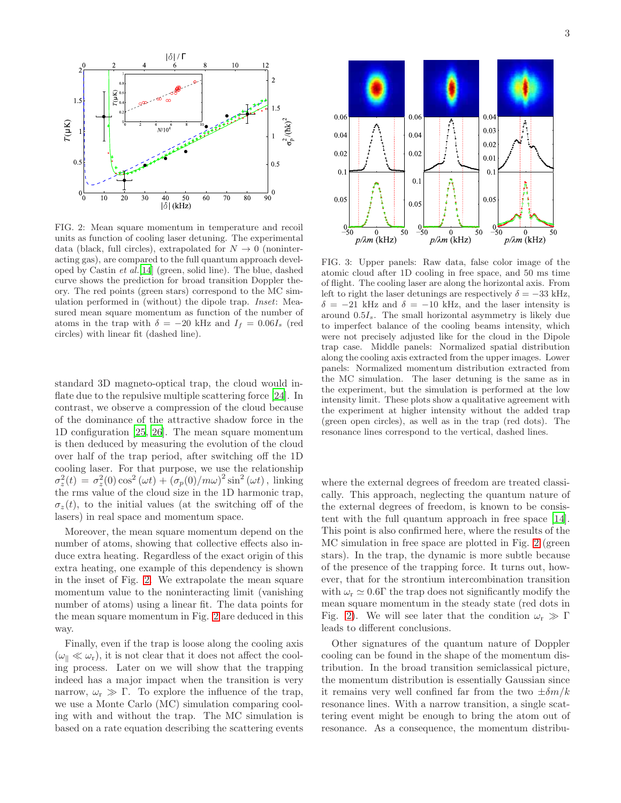

<span id="page-2-0"></span>FIG. 2: Mean square momentum in temperature and recoil units as function of cooling laser detuning. The experimental data (black, full circles), extrapolated for  $N \to 0$  (noninteracting gas), are compared to the full quantum approach developed by Castin et al.[\[14](#page-3-9)] (green, solid line). The blue, dashed curve shows the prediction for broad transition Doppler theory. The red points (green stars) correspond to the MC simulation performed in (without) the dipole trap. Inset: Measured mean square momentum as function of the number of atoms in the trap with  $\delta = -20$  kHz and  $I_f = 0.06I_s$  (red circles) with linear fit (dashed line).

standard 3D magneto-optical trap, the cloud would inflate due to the repulsive multiple scattering force [\[24](#page-4-3)]. In contrast, we observe a compression of the cloud because of the dominance of the attractive shadow force in the 1D configuration [\[25,](#page-4-4) [26\]](#page-4-5). The mean square momentum is then deduced by measuring the evolution of the cloud over half of the trap period, after switching off the 1D cooling laser. For that purpose, we use the relationship  $\sigma_z^2(t) = \sigma_z^2(0) \cos^2(\omega t) + (\sigma_p(0)/m\omega)^2 \sin^2(\omega t)$ , linking the rms value of the cloud size in the 1D harmonic trap,  $\sigma_z(t)$ , to the initial values (at the switching off of the lasers) in real space and momentum space.

Moreover, the mean square momentum depend on the number of atoms, showing that collective effects also induce extra heating. Regardless of the exact origin of this extra heating, one example of this dependency is shown in the inset of Fig. [2.](#page-2-0) We extrapolate the mean square momentum value to the noninteracting limit (vanishing number of atoms) using a linear fit. The data points for the mean square momentum in Fig. [2](#page-2-0) are deduced in this way.

Finally, even if the trap is loose along the cooling axis  $(\omega_0 \ll \omega_r)$ , it is not clear that it does not affect the cooling process. Later on we will show that the trapping indeed has a major impact when the transition is very narrow,  $\omega_r \gg \Gamma$ . To explore the influence of the trap, we use a Monte Carlo (MC) simulation comparing cooling with and without the trap. The MC simulation is based on a rate equation describing the scattering events



<span id="page-2-1"></span>FIG. 3: Upper panels: Raw data, false color image of the atomic cloud after 1D cooling in free space, and 50 ms time of flight. The cooling laser are along the horizontal axis. From left to right the laser detunings are respectively  $\delta = -33$  kHz,  $\delta = -21$  kHz and  $\delta = -10$  kHz, and the laser intensity is around  $0.5I<sub>s</sub>$ . The small horizontal asymmetry is likely due to imperfect balance of the cooling beams intensity, which were not precisely adjusted like for the cloud in the Dipole trap case. Middle panels: Normalized spatial distribution along the cooling axis extracted from the upper images. Lower panels: Normalized momentum distribution extracted from the MC simulation. The laser detuning is the same as in the experiment, but the simulation is performed at the low intensity limit. These plots show a qualitative agreement with the experiment at higher intensity without the added trap (green open circles), as well as in the trap (red dots). The resonance lines correspond to the vertical, dashed lines.

where the external degrees of freedom are treated classically. This approach, neglecting the quantum nature of the external degrees of freedom, is known to be consistent with the full quantum approach in free space [\[14\]](#page-3-9). This point is also confirmed here, where the results of the MC simulation in free space are plotted in Fig. [2](#page-2-0) (green stars). In the trap, the dynamic is more subtle because of the presence of the trapping force. It turns out, however, that for the strontium intercombination transition with  $\omega_r \simeq 0.6\Gamma$  the trap does not significantly modify the mean square momentum in the steady state (red dots in Fig. [2\)](#page-2-0). We will see later that the condition  $\omega_r \gg \Gamma$ leads to different conclusions.

Other signatures of the quantum nature of Doppler cooling can be found in the shape of the momentum distribution. In the broad transition semiclassical picture, the momentum distribution is essentially Gaussian since it remains very well confined far from the two  $\pm \delta m/k$ resonance lines. With a narrow transition, a single scattering event might be enough to bring the atom out of resonance. As a consequence, the momentum distribu-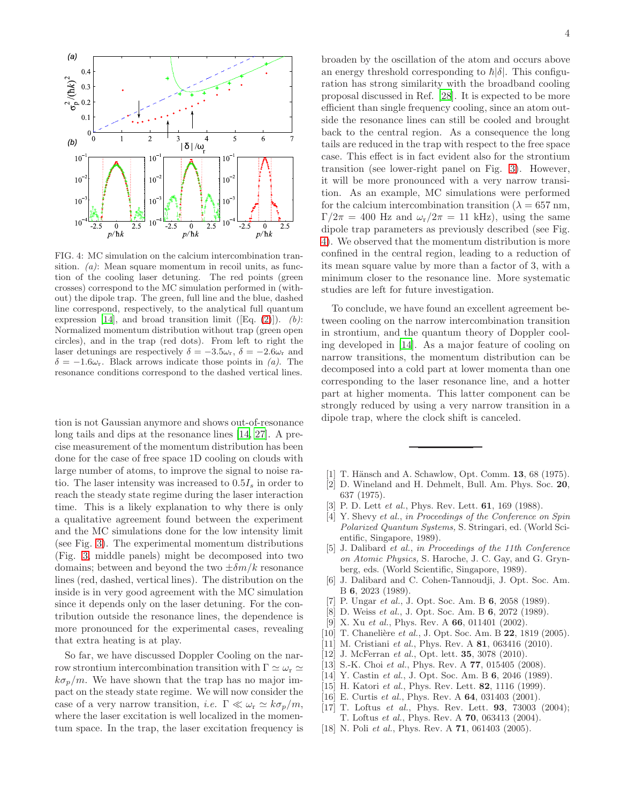

<span id="page-3-12"></span>FIG. 4: MC simulation on the calcium intercombination transition. (*a*): Mean square momentum in recoil units, as function of the cooling laser detuning. The red points (green crosses) correspond to the MC simulation performed in (without) the dipole trap. The green, full line and the blue, dashed line correspond, respectively, to the analytical full quantum expression [\[14](#page-3-9)], and broad transition limit ([Eq.  $(2)$ ]). (b): Normalized momentum distribution without trap (green open circles), and in the trap (red dots). From left to right the laser detunings are respectively  $\delta = -3.5\omega_r$ ,  $\delta = -2.6\omega_r$  and  $\delta = -1.6\omega_r$ . Black arrows indicate those points in (a). The resonance conditions correspond to the dashed vertical lines.

tion is not Gaussian anymore and shows out-of-resonance long tails and dips at the resonance lines [\[14,](#page-3-9) [27\]](#page-4-6). A precise measurement of the momentum distribution has been done for the case of free space 1D cooling on clouds with large number of atoms, to improve the signal to noise ratio. The laser intensity was increased to  $0.5I_s$  in order to reach the steady state regime during the laser interaction time. This is a likely explanation to why there is only a qualitative agreement found between the experiment and the MC simulations done for the low intensity limit (see Fig. [3\)](#page-2-1). The experimental momentum distributions (Fig. [3,](#page-2-1) middle panels) might be decomposed into two domains; between and beyond the two  $\pm \delta m/k$  resonance lines (red, dashed, vertical lines). The distribution on the inside is in very good agreement with the MC simulation since it depends only on the laser detuning. For the contribution outside the resonance lines, the dependence is more pronounced for the experimental cases, revealing that extra heating is at play.

So far, we have discussed Doppler Cooling on the narrow strontium intercombination transition with  $\Gamma \simeq \omega_r \simeq$  $k\sigma_p/m$ . We have shown that the trap has no major impact on the steady state regime. We will now consider the case of a very narrow transition, *i.e.*  $\Gamma \ll \omega_r \simeq k \sigma_p / m$ , where the laser excitation is well localized in the momentum space. In the trap, the laser excitation frequency is

broaden by the oscillation of the atom and occurs above an energy threshold corresponding to  $\hbar |\delta|$ . This configuration has strong similarity with the broadband cooling proposal discussed in Ref. [\[28](#page-4-7)]. It is expected to be more efficient than single frequency cooling, since an atom outside the resonance lines can still be cooled and brought back to the central region. As a consequence the long tails are reduced in the trap with respect to the free space case. This effect is in fact evident also for the strontium transition (see lower-right panel on Fig. [3\)](#page-2-1). However, it will be more pronounced with a very narrow transition. As an example, MC simulations were performed for the calcium intercombination transition ( $\lambda = 657$  nm,  $\Gamma/2\pi = 400$  Hz and  $\omega_{\rm r}/2\pi = 11$  kHz), using the same dipole trap parameters as previously described (see Fig. [4\)](#page-3-12). We observed that the momentum distribution is more confined in the central region, leading to a reduction of its mean square value by more than a factor of 3, with a minimum closer to the resonance line. More systematic studies are left for future investigation.

To conclude, we have found an excellent agreement between cooling on the narrow intercombination transition in strontium, and the quantum theory of Doppler cooling developed in [\[14\]](#page-3-9). As a major feature of cooling on narrow transitions, the momentum distribution can be decomposed into a cold part at lower momenta than one corresponding to the laser resonance line, and a hotter part at higher momenta. This latter component can be strongly reduced by using a very narrow transition in a dipole trap, where the clock shift is canceled.

- <span id="page-3-0"></span>[1] T. Hänsch and A. Schawlow, Opt. Comm. 13, 68 (1975).
- <span id="page-3-1"></span>[2] D. Wineland and H. Dehmelt, Bull. Am. Phys. Soc. 20, 637 (1975).
- <span id="page-3-2"></span>[3] P. D. Lett *et al.*, Phys. Rev. Lett. **61**, 169 (1988).
- [4] Y. Shevy et al., in Proceedings of the Conference on Spin Polarized Quantum Systems, S. Stringari, ed. (World Scientific, Singapore, 1989).
- [5] J. Dalibard et al., in Proceedings of the 11th Conference on Atomic Physics, S. Haroche, J. C. Gay, and G. Grynberg, eds. (World Scientific, Singapore, 1989).
- [6] J. Dalibard and C. Cohen-Tannoudji, J. Opt. Soc. Am. B 6, 2023 (1989).
- <span id="page-3-3"></span>[7] P. Ungar et al., J. Opt. Soc. Am. B 6, 2058 (1989).
- <span id="page-3-4"></span>[8] D. Weiss et al., J. Opt. Soc. Am. B 6, 2072 (1989).
- <span id="page-3-5"></span>[9] X. Xu et al., Phys. Rev. A  $66$ , 011401 (2002).
- <span id="page-3-7"></span>[10] T. Chanelière et al., J. Opt. Soc. Am. B 22, 1819 (2005).
- [11] M. Cristiani et al., Phys. Rev. A 81, 063416 (2010).
- <span id="page-3-6"></span>[12] J. McFerran et al., Opt. lett. **35**, 3078 (2010).
- <span id="page-3-8"></span>[13] S.-K. Choi et al., Phys. Rev. A 77, 015405 (2008).
- <span id="page-3-9"></span>[14] Y. Castin et al., J. Opt. Soc. Am. B 6, 2046 (1989).
- <span id="page-3-10"></span>[15] H. Katori *et al.*, Phys. Rev. Lett.  $82$ , 1116 (1999).
- [16] E. Curtis et al., Phys. Rev. A 64, 031403 (2001).
- <span id="page-3-11"></span>[17] T. Loftus et al., Phys. Rev. Lett. 93, 73003 (2004); T. Loftus et al., Phys. Rev. A 70, 063413 (2004).
- [18] N. Poli *et al.*, Phys. Rev. A **71**, 061403 (2005).